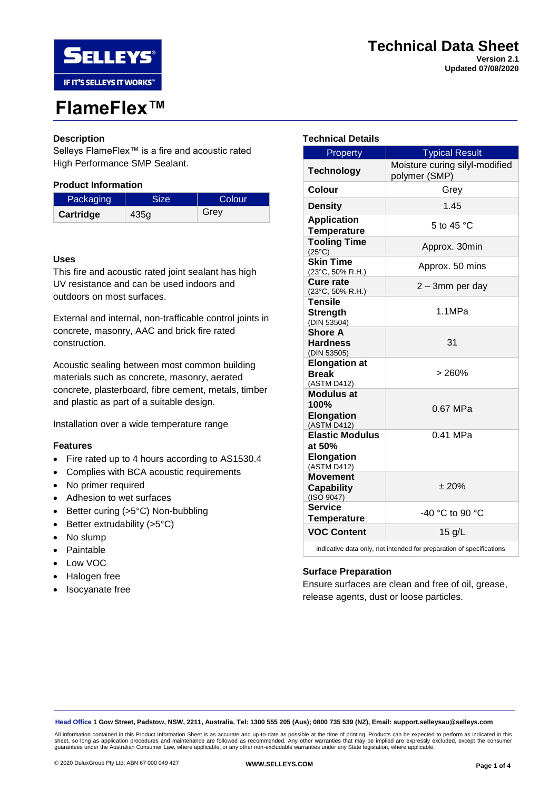



# **FlameFlex™**

## **Description**

Selleys FlameFlex™ is a fire and acoustic rated High Performance SMP Sealant.

## **Product Information**

| Packaging | <b>Size</b> | Colour |
|-----------|-------------|--------|
| Cartridge | 435g        | Grey   |

## **Uses**

This fire and acoustic rated joint sealant has high UV resistance and can be used indoors and outdoors on most surfaces.

External and internal, non-trafficable control joints in concrete, masonry, AAC and brick fire rated construction.

Acoustic sealing between most common building materials such as concrete, masonry, aerated concrete, plasterboard, fibre cement, metals, timber and plastic as part of a suitable design.

Installation over a wide temperature range

#### **Features**

- Fire rated up to 4 hours according to AS1530.4
- Complies with BCA acoustic requirements
- No primer required
- Adhesion to wet surfaces
- Better curing (>5°C) Non-bubbling
- Better extrudability  $(>5°C)$
- No slump
- Paintable
- Low VOC
- Halogen free
- **Isocyanate** free

## **Technical Details**

| Property                                                          | <b>Typical Result</b>                           |
|-------------------------------------------------------------------|-------------------------------------------------|
| <b>Technology</b>                                                 | Moisture curing silyl-modified<br>polymer (SMP) |
| Colour                                                            | Grey                                            |
| <b>Density</b>                                                    | 1.45                                            |
| <b>Application</b><br><b>Temperature</b>                          | 5 to 45 $^{\circ}$ C                            |
| <b>Tooling Time</b><br>$(25^{\circ}C)$                            | Approx. 30min                                   |
| <b>Skin Time</b><br>(23°C, 50% R.H.)                              | Approx. 50 mins                                 |
| Cure rate<br>(23°C, 50% R.H.)                                     | 2 - 3mm per day                                 |
| <b>Tensile</b><br><b>Strength</b><br>(DIN 53504)                  | 1.1MPa                                          |
| <b>Shore A</b><br><b>Hardness</b><br>(DIN 53505)                  | 31                                              |
| <b>Elongation at</b><br><b>Break</b><br>(ASTM D412)               | > 260%                                          |
| <b>Modulus at</b><br>100%<br><b>Elongation</b><br>(ASTM D412)     | 0.67 MPa                                        |
| <b>Elastic Modulus</b><br>at 50%<br><b>Elongation</b>             | $0.41$ MPa                                      |
| (ASTM D412)<br><b>Movement</b><br><b>Capability</b><br>(ISO 9047) | ± 20%                                           |
| <b>Service</b><br><b>Temperature</b>                              | -40 °C to 90 °C                                 |
| <b>VOC Content</b>                                                | $15$ g/L                                        |

Indicative data only, not intended for preparation of specifications

## **Surface Preparation**

Ensure surfaces are clean and free of oil, grease, release agents, dust or loose particles.

**Head Office 1 Gow Street, Padstow, NSW, 2211, Australia. Tel: 1300 555 205 (Aus); 0800 735 539 (NZ), Email: support.selleysau@selleys.com**

All information contained in this Product Information Sheet is as accurate and up-to-date as possible at the time of printing. Products can be expected to perform as indicated in this<br>sheet, so long as application procedur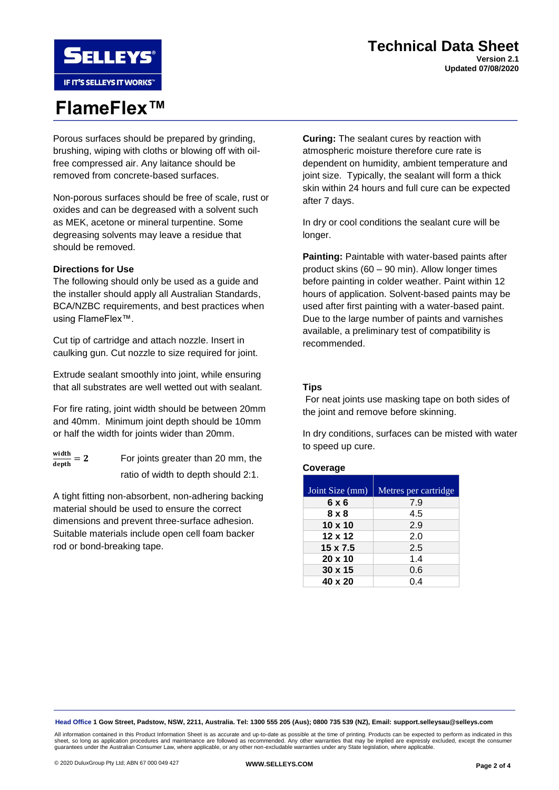## **Technical Data Sheet Version 2.1 Updated 07/08/2020**

**SELLEYS** IF IT'S SELLEYS IT WORKS"

# **FlameFlex™**

Porous surfaces should be prepared by grinding, brushing, wiping with cloths or blowing off with oilfree compressed air. Any laitance should be removed from concrete-based surfaces.

Non-porous surfaces should be free of scale, rust or oxides and can be degreased with a solvent such as MEK, acetone or mineral turpentine. Some degreasing solvents may leave a residue that should be removed.

## **Directions for Use**

The following should only be used as a guide and the installer should apply all Australian Standards, BCA/NZBC requirements, and best practices when using FlameFlex™.

Cut tip of cartridge and attach nozzle. Insert in caulking gun. Cut nozzle to size required for joint.

Extrude sealant smoothly into joint, while ensuring that all substrates are well wetted out with sealant.

For fire rating, joint width should be between 20mm and 40mm. Minimum joint depth should be 10mm or half the width for joints wider than 20mm.

 $\frac{\text{width}}{\ }=2$  $\overline{\text{depth}}$ 

For joints greater than 20 mm, the ratio of width to depth should 2:1.

A tight fitting non-absorbent, non-adhering backing material should be used to ensure the correct dimensions and prevent three-surface adhesion. Suitable materials include open cell foam backer rod or bond-breaking tape.

**Curing:** The sealant cures by reaction with atmospheric moisture therefore cure rate is dependent on humidity, ambient temperature and joint size. Typically, the sealant will form a thick skin within 24 hours and full cure can be expected after 7 days.

In dry or cool conditions the sealant cure will be longer.

**Painting:** Paintable with water-based paints after product skins (60 – 90 min). Allow longer times before painting in colder weather. Paint within 12 hours of application. Solvent-based paints may be used after first painting with a water-based paint. Due to the large number of paints and varnishes available, a preliminary test of compatibility is recommended.

## **Tips**

For neat joints use masking tape on both sides of the joint and remove before skinning.

In dry conditions, surfaces can be misted with water to speed up cure.

## **Coverage**

| Joint Size (mm) | Metres per cartridge |
|-----------------|----------------------|
| 6 x 6           | 7.9                  |
| 8 x 8           | 4.5                  |
| $10 \times 10$  | 2.9                  |
| $12 \times 12$  | 2.0                  |
| 15 x 7.5        | 2.5                  |
| $20 \times 10$  | 1.4                  |
| $30 \times 15$  | 0.6                  |
| 40 x 20         | 0.4                  |

**Head Office 1 Gow Street, Padstow, NSW, 2211, Australia. Tel: 1300 555 205 (Aus); 0800 735 539 (NZ), Email: support.selleysau@selleys.com**

All information contained in this Product Information Sheet is as accurate and up-to-date as possible at the time of printing. Products can be expected to perform as indicated in this sheet, so long as application procedures and maintenance are followed as recommended. Any other warranties that may be implied are expressly excluded, except the consumer<br>guarantees under the Australian Consumer Law, where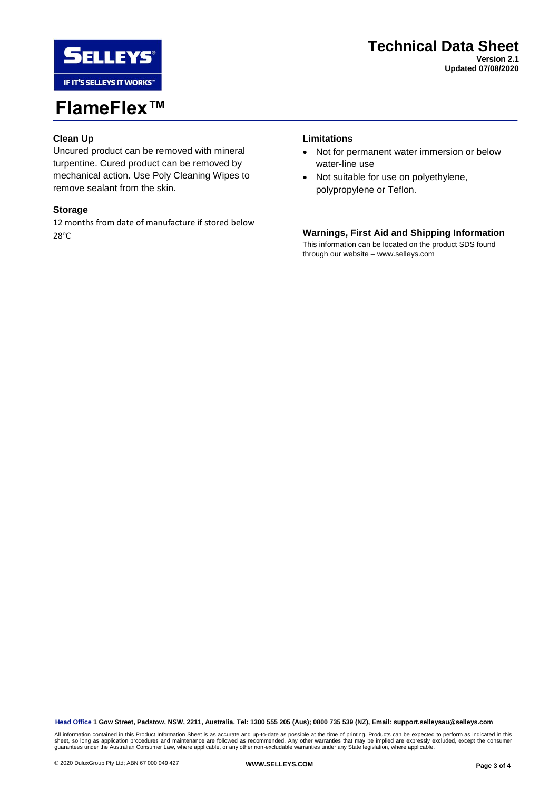

## **FlameFlex™**

## **Clean Up**

Uncured product can be removed with mineral turpentine. Cured product can be removed by mechanical action. Use Poly Cleaning Wipes to remove sealant from the skin.

#### **Storage**

12 months from date of manufacture if stored below 28<sup>o</sup>C

## **Limitations**

- Not for permanent water immersion or below water-line use
- Not suitable for use on polyethylene, polypropylene or Teflon.

## **Warnings, First Aid and Shipping Information**

This information can be located on the product SDS found through our website – www.selleys.com

**Head Office 1 Gow Street, Padstow, NSW, 2211, Australia. Tel: 1300 555 205 (Aus); 0800 735 539 (NZ), Email: support.selleysau@selleys.com**

All information contained in this Product Information Sheet is as accurate and up-to-date as possible at the time of printing. Products can be expected to perform as indicated in this<br>sheet, so long as application procedur